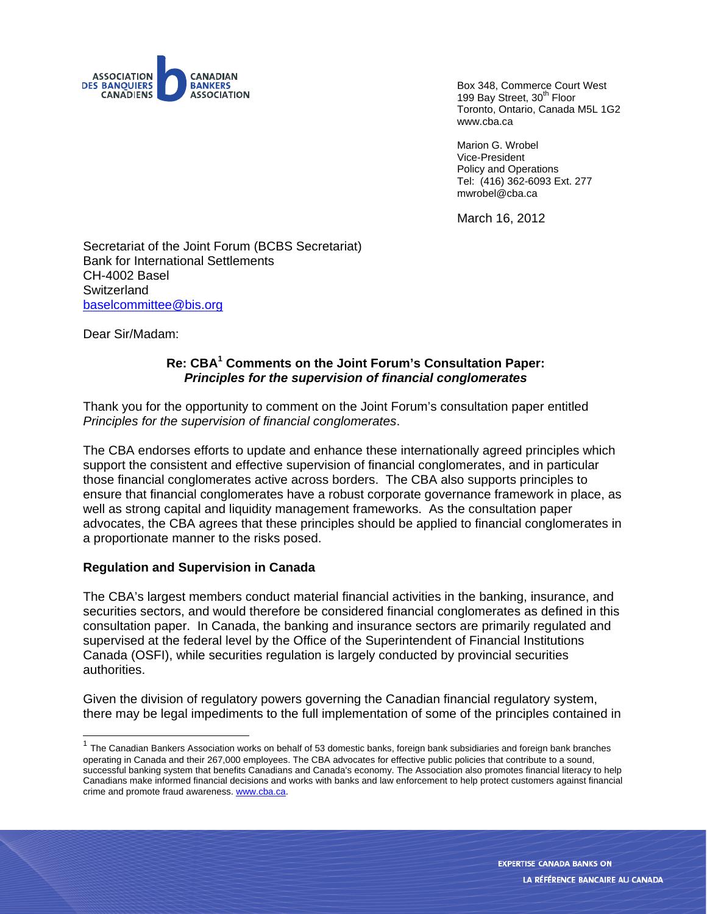

Box 348, Commerce Court West 199 Bay Street, 30<sup>th</sup> Floor Toronto, Ontario, Canada M5L 1G2 www.cba.ca

Marion G. Wrobel Vice-President Policy and Operations Tel: (416) 362-6093 Ext. 277 mwrobel@cba.ca

March 16, 2012

Secretariat of the Joint Forum (BCBS Secretariat) Bank for International Settlements CH-4002 Basel **Switzerland** baselcommittee@bis.org

Dear Sir/Madam:

l

## **Re: CBA<sup>1</sup> Comments on the Joint Forum's Consultation Paper:**  *Principles for the supervision of financial conglomerates*

Thank you for the opportunity to comment on the Joint Forum's consultation paper entitled *Principles for the supervision of financial conglomerates*.

The CBA endorses efforts to update and enhance these internationally agreed principles which support the consistent and effective supervision of financial conglomerates, and in particular those financial conglomerates active across borders. The CBA also supports principles to ensure that financial conglomerates have a robust corporate governance framework in place, as well as strong capital and liquidity management frameworks. As the consultation paper advocates, the CBA agrees that these principles should be applied to financial conglomerates in a proportionate manner to the risks posed.

#### **Regulation and Supervision in Canada**

The CBA's largest members conduct material financial activities in the banking, insurance, and securities sectors, and would therefore be considered financial conglomerates as defined in this consultation paper. In Canada, the banking and insurance sectors are primarily regulated and supervised at the federal level by the Office of the Superintendent of Financial Institutions Canada (OSFI), while securities regulation is largely conducted by provincial securities authorities.

Given the division of regulatory powers governing the Canadian financial regulatory system, there may be legal impediments to the full implementation of some of the principles contained in

 $1$  The Canadian Bankers Association works on behalf of 53 domestic banks, foreign bank subsidiaries and foreign bank branches operating in Canada and their 267,000 employees. The CBA advocates for effective public policies that contribute to a sound, successful banking system that benefits Canadians and Canada's economy. The Association also promotes financial literacy to help Canadians make informed financial decisions and works with banks and law enforcement to help protect customers against financial crime and promote fraud awareness. www.cba.ca.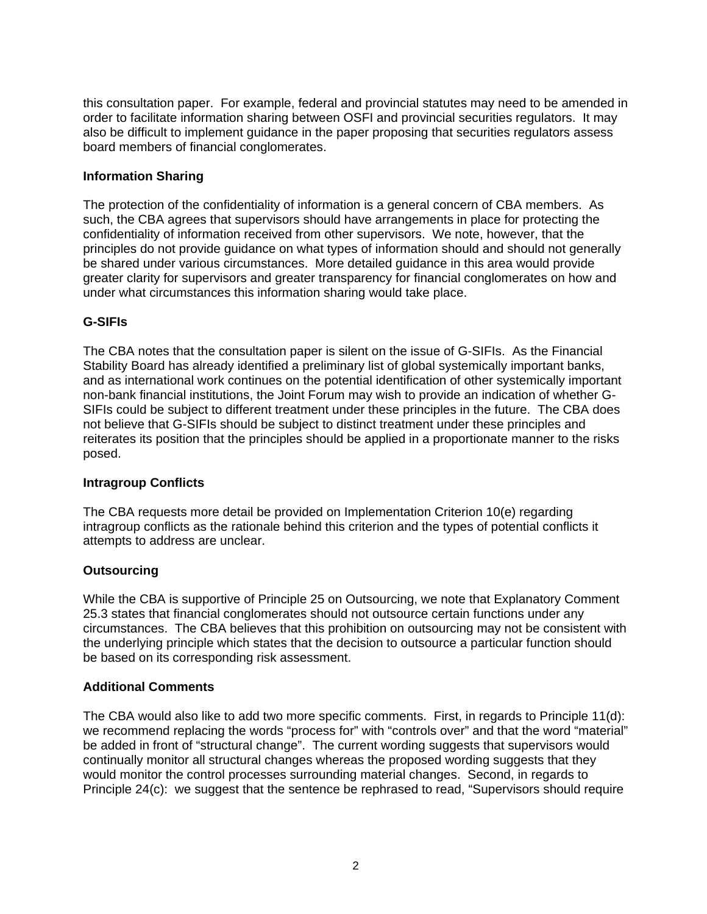this consultation paper. For example, federal and provincial statutes may need to be amended in order to facilitate information sharing between OSFI and provincial securities regulators. It may also be difficult to implement guidance in the paper proposing that securities regulators assess board members of financial conglomerates.

## **Information Sharing**

The protection of the confidentiality of information is a general concern of CBA members. As such, the CBA agrees that supervisors should have arrangements in place for protecting the confidentiality of information received from other supervisors. We note, however, that the principles do not provide guidance on what types of information should and should not generally be shared under various circumstances. More detailed guidance in this area would provide greater clarity for supervisors and greater transparency for financial conglomerates on how and under what circumstances this information sharing would take place.

## **G-SIFIs**

The CBA notes that the consultation paper is silent on the issue of G-SIFIs. As the Financial Stability Board has already identified a preliminary list of global systemically important banks, and as international work continues on the potential identification of other systemically important non-bank financial institutions, the Joint Forum may wish to provide an indication of whether G-SIFIs could be subject to different treatment under these principles in the future. The CBA does not believe that G-SIFIs should be subject to distinct treatment under these principles and reiterates its position that the principles should be applied in a proportionate manner to the risks posed.

## **Intragroup Conflicts**

The CBA requests more detail be provided on Implementation Criterion 10(e) regarding intragroup conflicts as the rationale behind this criterion and the types of potential conflicts it attempts to address are unclear.

## **Outsourcing**

While the CBA is supportive of Principle 25 on Outsourcing, we note that Explanatory Comment 25.3 states that financial conglomerates should not outsource certain functions under any circumstances. The CBA believes that this prohibition on outsourcing may not be consistent with the underlying principle which states that the decision to outsource a particular function should be based on its corresponding risk assessment.

# **Additional Comments**

The CBA would also like to add two more specific comments. First, in regards to Principle 11(d): we recommend replacing the words "process for" with "controls over" and that the word "material" be added in front of "structural change". The current wording suggests that supervisors would continually monitor all structural changes whereas the proposed wording suggests that they would monitor the control processes surrounding material changes. Second, in regards to Principle 24(c): we suggest that the sentence be rephrased to read, "Supervisors should require